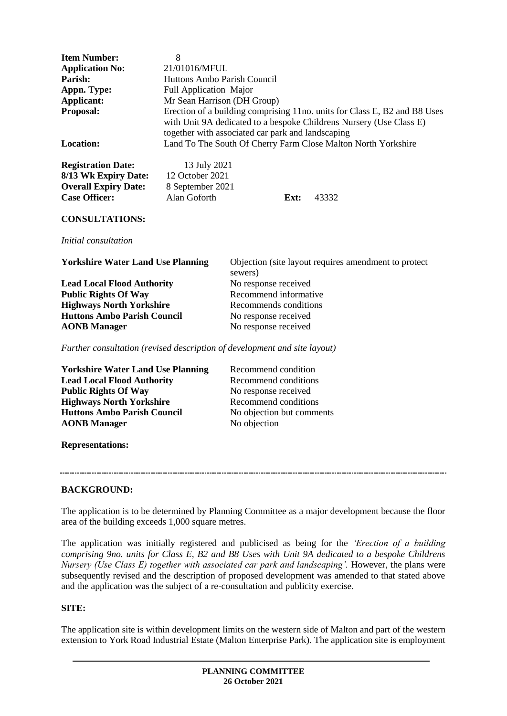| <b>Item Number:</b>    | 8                                                                                                                                                                                                     |
|------------------------|-------------------------------------------------------------------------------------------------------------------------------------------------------------------------------------------------------|
| <b>Application No:</b> | 21/01016/MFUL                                                                                                                                                                                         |
| Parish:                | Huttons Ambo Parish Council                                                                                                                                                                           |
| Appn. Type:            | <b>Full Application Major</b>                                                                                                                                                                         |
| Applicant:             | Mr Sean Harrison (DH Group)                                                                                                                                                                           |
| <b>Proposal:</b>       | Erection of a building comprising 11no. units for Class E, B2 and B8 Uses<br>with Unit 9A dedicated to a bespoke Childrens Nursery (Use Class E)<br>together with associated car park and landscaping |
| <b>Location:</b>       | Land To The South Of Cherry Farm Close Malton North Yorkshire                                                                                                                                         |

| <b>Registration Date:</b>   | 13 July 2021     |      |       |
|-----------------------------|------------------|------|-------|
| 8/13 Wk Expiry Date:        | 12 October 2021  |      |       |
| <b>Overall Expiry Date:</b> | 8 September 2021 |      |       |
| <b>Case Officer:</b>        | Alan Goforth     | Ext: | 43332 |

#### **CONSULTATIONS:**

*Initial consultation*

**Yorkshire Water Land Use Planning** Objection (site layout requires amendment to protect

Lead Local Flood Authority No response received **Public Rights Of Way** Recommend informative **Highways North Yorkshire** Recommends conditions<br> **Huttons Ambo Parish Council** No response received **Huttons Ambo Parish Council AONB Manager** No response received

sewers)

*Further consultation (revised description of development and site layout)*

| <b>Yorkshire Water Land Use Planning</b> | Recommend condition       |
|------------------------------------------|---------------------------|
| <b>Lead Local Flood Authority</b>        | Recommend conditions      |
| <b>Public Rights Of Way</b>              | No response received      |
| <b>Highways North Yorkshire</b>          | Recommend conditions      |
| <b>Huttons Ambo Parish Council</b>       | No objection but comments |
| <b>AONB</b> Manager                      | No objection              |
|                                          |                           |

**Representations:**

### **BACKGROUND:**

The application is to be determined by Planning Committee as a major development because the floor area of the building exceeds 1,000 square metres.

The application was initially registered and publicised as being for the *'Erection of a building comprising 9no. units for Class E, B2 and B8 Uses with Unit 9A dedicated to a bespoke Childrens Nursery (Use Class E) together with associated car park and landscaping'*. However, the plans were subsequently revised and the description of proposed development was amended to that stated above and the application was the subject of a re-consultation and publicity exercise.

### **SITE:**

The application site is within development limits on the western side of Malton and part of the western extension to York Road Industrial Estate (Malton Enterprise Park). The application site is employment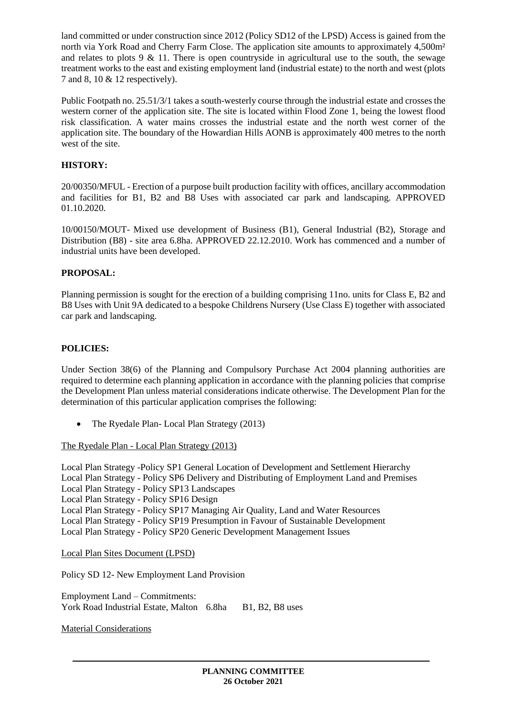land committed or under construction since 2012 (Policy SD12 of the LPSD) Access is gained from the north via York Road and Cherry Farm Close. The application site amounts to approximately 4,500m<sup>2</sup> and relates to plots 9  $\&$  11. There is open countryside in agricultural use to the south, the sewage treatment works to the east and existing employment land (industrial estate) to the north and west (plots 7 and 8, 10 & 12 respectively).

Public Footpath no. 25.51/3/1 takes a south-westerly course through the industrial estate and crosses the western corner of the application site. The site is located within Flood Zone 1, being the lowest flood risk classification. A water mains crosses the industrial estate and the north west corner of the application site. The boundary of the Howardian Hills AONB is approximately 400 metres to the north west of the site.

# **HISTORY:**

20/00350/MFUL - Erection of a purpose built production facility with offices, ancillary accommodation and facilities for B1, B2 and B8 Uses with associated car park and landscaping. APPROVED 01.10.2020.

10/00150/MOUT- Mixed use development of Business (B1), General Industrial (B2), Storage and Distribution (B8) - site area 6.8ha. APPROVED 22.12.2010. Work has commenced and a number of industrial units have been developed.

# **PROPOSAL:**

Planning permission is sought for the erection of a building comprising 11no. units for Class E, B2 and B8 Uses with Unit 9A dedicated to a bespoke Childrens Nursery (Use Class E) together with associated car park and landscaping.

# **POLICIES:**

Under Section 38(6) of the Planning and Compulsory Purchase Act 2004 planning authorities are required to determine each planning application in accordance with the planning policies that comprise the Development Plan unless material considerations indicate otherwise. The Development Plan for the determination of this particular application comprises the following:

• The Ryedale Plan- Local Plan Strategy (2013)

The Ryedale Plan - Local Plan Strategy (2013)

Local Plan Strategy -Policy SP1 General Location of Development and Settlement Hierarchy Local Plan Strategy - Policy SP6 Delivery and Distributing of Employment Land and Premises Local Plan Strategy - Policy SP13 Landscapes Local Plan Strategy - Policy SP16 Design Local Plan Strategy - Policy SP17 Managing Air Quality, Land and Water Resources Local Plan Strategy - Policy SP19 Presumption in Favour of Sustainable Development Local Plan Strategy - Policy SP20 Generic Development Management Issues

Local Plan Sites Document (LPSD)

Policy SD 12- New Employment Land Provision

Employment Land – Commitments: York Road Industrial Estate, Malton 6.8ha B1, B2, B8 uses

Material Considerations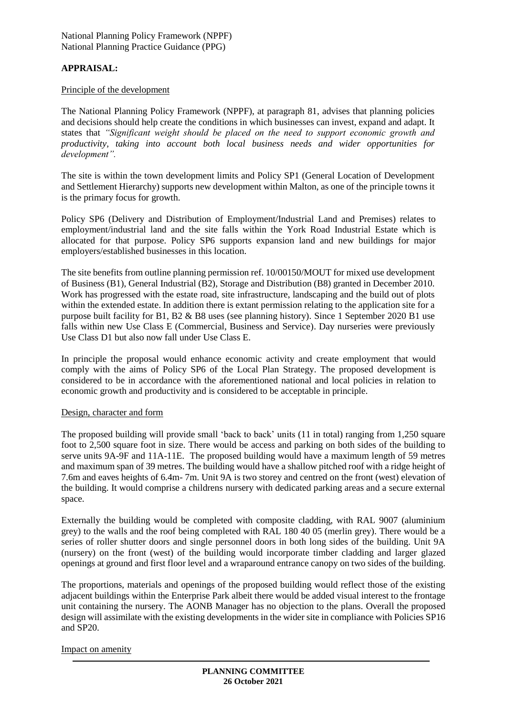National Planning Policy Framework (NPPF) National Planning Practice Guidance (PPG)

# **APPRAISAL:**

#### Principle of the development

The National Planning Policy Framework (NPPF), at paragraph 81, advises that planning policies and decisions should help create the conditions in which businesses can invest, expand and adapt. It states that *"Significant weight should be placed on the need to support economic growth and productivity, taking into account both local business needs and wider opportunities for development".*

The site is within the town development limits and Policy SP1 (General Location of Development and Settlement Hierarchy) supports new development within Malton, as one of the principle towns it is the primary focus for growth.

Policy SP6 (Delivery and Distribution of Employment/Industrial Land and Premises) relates to employment/industrial land and the site falls within the York Road Industrial Estate which is allocated for that purpose. Policy SP6 supports expansion land and new buildings for major employers/established businesses in this location.

The site benefits from outline planning permission ref. 10/00150/MOUT for mixed use development of Business (B1), General Industrial (B2), Storage and Distribution (B8) granted in December 2010. Work has progressed with the estate road, site infrastructure, landscaping and the build out of plots within the extended estate. In addition there is extant permission relating to the application site for a purpose built facility for B1, B2 & B8 uses (see planning history). Since 1 September 2020 B1 use falls within new Use Class E (Commercial, Business and Service). Day nurseries were previously Use Class D1 but also now fall under Use Class E.

In principle the proposal would enhance economic activity and create employment that would comply with the aims of Policy SP6 of the Local Plan Strategy. The proposed development is considered to be in accordance with the aforementioned national and local policies in relation to economic growth and productivity and is considered to be acceptable in principle.

#### Design, character and form

The proposed building will provide small 'back to back' units (11 in total) ranging from 1,250 square foot to 2,500 square foot in size. There would be access and parking on both sides of the building to serve units 9A-9F and 11A-11E. The proposed building would have a maximum length of 59 metres and maximum span of 39 metres. The building would have a shallow pitched roof with a ridge height of 7.6m and eaves heights of 6.4m- 7m. Unit 9A is two storey and centred on the front (west) elevation of the building. It would comprise a childrens nursery with dedicated parking areas and a secure external space.

Externally the building would be completed with composite cladding, with RAL 9007 (aluminium grey) to the walls and the roof being completed with RAL 180 40 05 (merlin grey). There would be a series of roller shutter doors and single personnel doors in both long sides of the building. Unit 9A (nursery) on the front (west) of the building would incorporate timber cladding and larger glazed openings at ground and first floor level and a wraparound entrance canopy on two sides of the building.

The proportions, materials and openings of the proposed building would reflect those of the existing adjacent buildings within the Enterprise Park albeit there would be added visual interest to the frontage unit containing the nursery. The AONB Manager has no objection to the plans. Overall the proposed design will assimilate with the existing developments in the wider site in compliance with Policies SP16 and SP20.

#### Impact on amenity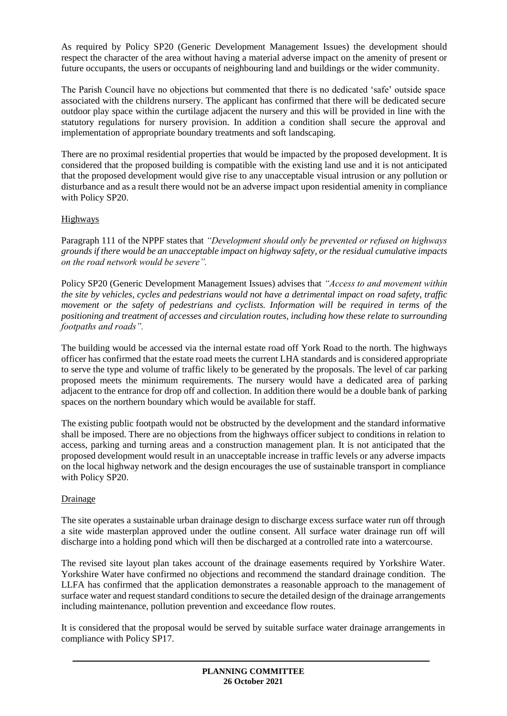As required by Policy SP20 (Generic Development Management Issues) the development should respect the character of the area without having a material adverse impact on the amenity of present or future occupants, the users or occupants of neighbouring land and buildings or the wider community.

The Parish Council have no objections but commented that there is no dedicated 'safe' outside space associated with the childrens nursery. The applicant has confirmed that there will be dedicated secure outdoor play space within the curtilage adjacent the nursery and this will be provided in line with the statutory regulations for nursery provision. In addition a condition shall secure the approval and implementation of appropriate boundary treatments and soft landscaping.

There are no proximal residential properties that would be impacted by the proposed development. It is considered that the proposed building is compatible with the existing land use and it is not anticipated that the proposed development would give rise to any unacceptable visual intrusion or any pollution or disturbance and as a result there would not be an adverse impact upon residential amenity in compliance with Policy SP20.

# Highways

Paragraph 111 of the NPPF states that *"Development should only be prevented or refused on highways grounds if there would be an unacceptable impact on highway safety, or the residual cumulative impacts on the road network would be severe".*

Policy SP20 (Generic Development Management Issues) advises that *"Access to and movement within the site by vehicles, cycles and pedestrians would not have a detrimental impact on road safety, traffic movement or the safety of pedestrians and cyclists. Information will be required in terms of the positioning and treatment of accesses and circulation routes, including how these relate to surrounding footpaths and roads".*

The building would be accessed via the internal estate road off York Road to the north. The highways officer has confirmed that the estate road meets the current LHA standards and is considered appropriate to serve the type and volume of traffic likely to be generated by the proposals. The level of car parking proposed meets the minimum requirements. The nursery would have a dedicated area of parking adjacent to the entrance for drop off and collection. In addition there would be a double bank of parking spaces on the northern boundary which would be available for staff.

The existing public footpath would not be obstructed by the development and the standard informative shall be imposed. There are no objections from the highways officer subject to conditions in relation to access, parking and turning areas and a construction management plan. It is not anticipated that the proposed development would result in an unacceptable increase in traffic levels or any adverse impacts on the local highway network and the design encourages the use of sustainable transport in compliance with Policy SP20.

# Drainage

The site operates a sustainable urban drainage design to discharge excess surface water run off through a site wide masterplan approved under the outline consent. All surface water drainage run off will discharge into a holding pond which will then be discharged at a controlled rate into a watercourse.

The revised site layout plan takes account of the drainage easements required by Yorkshire Water. Yorkshire Water have confirmed no objections and recommend the standard drainage condition. The LLFA has confirmed that the application demonstrates a reasonable approach to the management of surface water and request standard conditions to secure the detailed design of the drainage arrangements including maintenance, pollution prevention and exceedance flow routes.

It is considered that the proposal would be served by suitable surface water drainage arrangements in compliance with Policy SP17.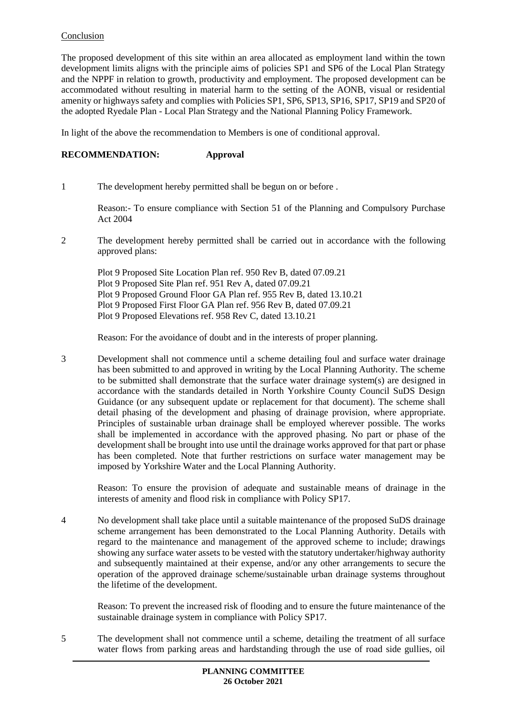## Conclusion

The proposed development of this site within an area allocated as employment land within the town development limits aligns with the principle aims of policies SP1 and SP6 of the Local Plan Strategy and the NPPF in relation to growth, productivity and employment. The proposed development can be accommodated without resulting in material harm to the setting of the AONB, visual or residential amenity or highways safety and complies with Policies SP1, SP6, SP13, SP16, SP17, SP19 and SP20 of the adopted Ryedale Plan - Local Plan Strategy and the National Planning Policy Framework.

In light of the above the recommendation to Members is one of conditional approval.

### **RECOMMENDATION: Approval**

1 The development hereby permitted shall be begun on or before .

Reason:- To ensure compliance with Section 51 of the Planning and Compulsory Purchase Act 2004

2 The development hereby permitted shall be carried out in accordance with the following approved plans:

Plot 9 Proposed Site Location Plan ref. 950 Rev B, dated 07.09.21 Plot 9 Proposed Site Plan ref. 951 Rev A, dated 07.09.21 Plot 9 Proposed Ground Floor GA Plan ref. 955 Rev B, dated 13.10.21 Plot 9 Proposed First Floor GA Plan ref. 956 Rev B, dated 07.09.21 Plot 9 Proposed Elevations ref. 958 Rev C, dated 13.10.21

Reason: For the avoidance of doubt and in the interests of proper planning.

3 Development shall not commence until a scheme detailing foul and surface water drainage has been submitted to and approved in writing by the Local Planning Authority. The scheme to be submitted shall demonstrate that the surface water drainage system(s) are designed in accordance with the standards detailed in North Yorkshire County Council SuDS Design Guidance (or any subsequent update or replacement for that document). The scheme shall detail phasing of the development and phasing of drainage provision, where appropriate. Principles of sustainable urban drainage shall be employed wherever possible. The works shall be implemented in accordance with the approved phasing. No part or phase of the development shall be brought into use until the drainage works approved for that part or phase has been completed. Note that further restrictions on surface water management may be imposed by Yorkshire Water and the Local Planning Authority.

Reason: To ensure the provision of adequate and sustainable means of drainage in the interests of amenity and flood risk in compliance with Policy SP17.

4 No development shall take place until a suitable maintenance of the proposed SuDS drainage scheme arrangement has been demonstrated to the Local Planning Authority. Details with regard to the maintenance and management of the approved scheme to include; drawings showing any surface water assets to be vested with the statutory undertaker/highway authority and subsequently maintained at their expense, and/or any other arrangements to secure the operation of the approved drainage scheme/sustainable urban drainage systems throughout the lifetime of the development.

Reason: To prevent the increased risk of flooding and to ensure the future maintenance of the sustainable drainage system in compliance with Policy SP17.

5 The development shall not commence until a scheme, detailing the treatment of all surface water flows from parking areas and hardstanding through the use of road side gullies, oil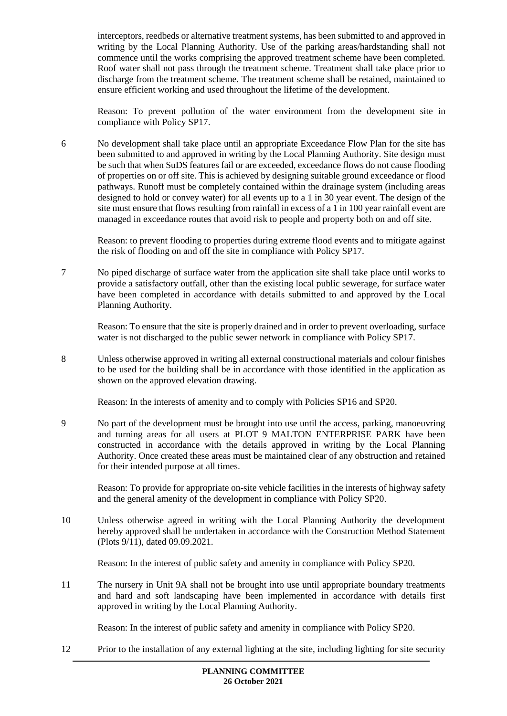interceptors, reedbeds or alternative treatment systems, has been submitted to and approved in writing by the Local Planning Authority. Use of the parking areas/hardstanding shall not commence until the works comprising the approved treatment scheme have been completed. Roof water shall not pass through the treatment scheme. Treatment shall take place prior to discharge from the treatment scheme. The treatment scheme shall be retained, maintained to ensure efficient working and used throughout the lifetime of the development.

Reason: To prevent pollution of the water environment from the development site in compliance with Policy SP17.

6 No development shall take place until an appropriate Exceedance Flow Plan for the site has been submitted to and approved in writing by the Local Planning Authority. Site design must be such that when SuDS features fail or are exceeded, exceedance flows do not cause flooding of properties on or off site. This is achieved by designing suitable ground exceedance or flood pathways. Runoff must be completely contained within the drainage system (including areas designed to hold or convey water) for all events up to a 1 in 30 year event. The design of the site must ensure that flows resulting from rainfall in excess of a 1 in 100 year rainfall event are managed in exceedance routes that avoid risk to people and property both on and off site.

Reason: to prevent flooding to properties during extreme flood events and to mitigate against the risk of flooding on and off the site in compliance with Policy SP17.

7 No piped discharge of surface water from the application site shall take place until works to provide a satisfactory outfall, other than the existing local public sewerage, for surface water have been completed in accordance with details submitted to and approved by the Local Planning Authority.

Reason: To ensure that the site is properly drained and in order to prevent overloading, surface water is not discharged to the public sewer network in compliance with Policy SP17.

8 Unless otherwise approved in writing all external constructional materials and colour finishes to be used for the building shall be in accordance with those identified in the application as shown on the approved elevation drawing.

Reason: In the interests of amenity and to comply with Policies SP16 and SP20.

9 No part of the development must be brought into use until the access, parking, manoeuvring and turning areas for all users at PLOT 9 MALTON ENTERPRISE PARK have been constructed in accordance with the details approved in writing by the Local Planning Authority. Once created these areas must be maintained clear of any obstruction and retained for their intended purpose at all times.

Reason: To provide for appropriate on-site vehicle facilities in the interests of highway safety and the general amenity of the development in compliance with Policy SP20.

10 Unless otherwise agreed in writing with the Local Planning Authority the development hereby approved shall be undertaken in accordance with the Construction Method Statement (Plots 9/11), dated 09.09.2021.

Reason: In the interest of public safety and amenity in compliance with Policy SP20.

11 The nursery in Unit 9A shall not be brought into use until appropriate boundary treatments and hard and soft landscaping have been implemented in accordance with details first approved in writing by the Local Planning Authority.

Reason: In the interest of public safety and amenity in compliance with Policy SP20.

12 Prior to the installation of any external lighting at the site, including lighting for site security